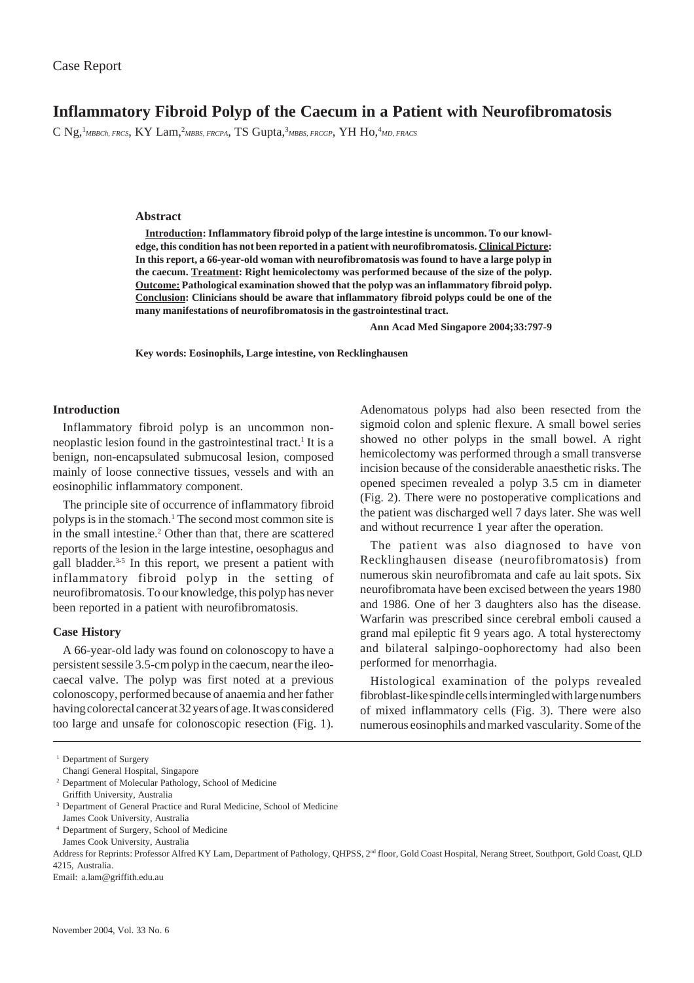# **Inflammatory Fibroid Polyp of the Caecum in a Patient with Neurofibromatosis**

C Ng,<sup>1</sup>MBBCh, FRCS, KY Lam,<sup>2</sup>MBBS, FRCPA, TS Gupta,<sup>3</sup>MBBS, FRCGP, YH HO,<sup>4</sup>MD, FRACS

## **Abstract**

**Introduction: Inflammatory fibroid polyp of the large intestine is uncommon. To our knowledge, this condition has not been reported in a patient with neurofibromatosis. Clinical Picture: In this report, a 66-year-old woman with neurofibromatosis was found to have a large polyp in the caecum. Treatment: Right hemicolectomy was performed because of the size of the polyp. Outcome: Pathological examination showed that the polyp was an inflammatory fibroid polyp. Conclusion: Clinicians should be aware that inflammatory fibroid polyps could be one of the many manifestations of neurofibromatosis in the gastrointestinal tract.**

**Ann Acad Med Singapore 2004;33:797-9**

**Key words: Eosinophils, Large intestine, von Recklinghausen**

## **Introduction**

Inflammatory fibroid polyp is an uncommon nonneoplastic lesion found in the gastrointestinal tract.<sup>1</sup> It is a benign, non-encapsulated submucosal lesion, composed mainly of loose connective tissues, vessels and with an eosinophilic inflammatory component.

The principle site of occurrence of inflammatory fibroid polyps is in the stomach.<sup>1</sup> The second most common site is in the small intestine.<sup>2</sup> Other than that, there are scattered reports of the lesion in the large intestine, oesophagus and gall bladder.<sup>3-5</sup> In this report, we present a patient with inflammatory fibroid polyp in the setting of neurofibromatosis. To our knowledge, this polyp has never been reported in a patient with neurofibromatosis.

#### **Case History**

A 66-year-old lady was found on colonoscopy to have a persistent sessile 3.5-cm polyp in the caecum, near the ileocaecal valve. The polyp was first noted at a previous colonoscopy, performed because of anaemia and her father having colorectal cancer at 32 years of age. It was considered too large and unsafe for colonoscopic resection (Fig. 1).

Adenomatous polyps had also been resected from the sigmoid colon and splenic flexure. A small bowel series showed no other polyps in the small bowel. A right hemicolectomy was performed through a small transverse incision because of the considerable anaesthetic risks. The opened specimen revealed a polyp 3.5 cm in diameter (Fig. 2). There were no postoperative complications and the patient was discharged well 7 days later. She was well and without recurrence 1 year after the operation.

The patient was also diagnosed to have von Recklinghausen disease (neurofibromatosis) from numerous skin neurofibromata and cafe au lait spots. Six neurofibromata have been excised between the years 1980 and 1986. One of her 3 daughters also has the disease. Warfarin was prescribed since cerebral emboli caused a grand mal epileptic fit 9 years ago. A total hysterectomy and bilateral salpingo-oophorectomy had also been performed for menorrhagia.

Histological examination of the polyps revealed fibroblast-like spindle cells intermingled with large numbers of mixed inflammatory cells (Fig. 3). There were also numerous eosinophils and marked vascularity. Some of the

- James Cook University, Australia
- <sup>4</sup> Department of Surgery, School of Medicine James Cook University, Australia

<sup>&</sup>lt;sup>1</sup> Department of Surgery

Changi General Hospital, Singapore

<sup>2</sup> Department of Molecular Pathology, School of Medicine

Griffith University, Australia

<sup>&</sup>lt;sup>3</sup> Department of General Practice and Rural Medicine, School of Medicine

Address for Reprints: Professor Alfred KY Lam, Department of Pathology, QHPSS, 2nd floor, Gold Coast Hospital, Nerang Street, Southport, Gold Coast, QLD 4215, Australia.

Email: a.lam@griffith.edu.au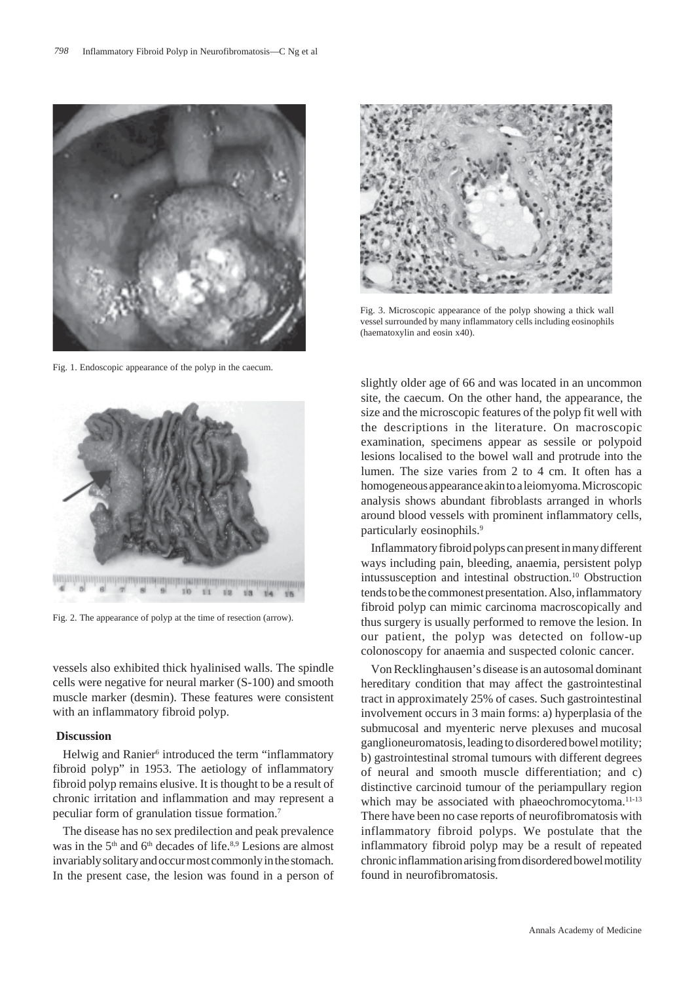

Fig. 1. Endoscopic appearance of the polyp in the caecum.



Fig. 2. The appearance of polyp at the time of resection (arrow).

vessels also exhibited thick hyalinised walls. The spindle cells were negative for neural marker (S-100) and smooth muscle marker (desmin). These features were consistent with an inflammatory fibroid polyp.

#### **Discussion**

Helwig and Ranier<sup>6</sup> introduced the term "inflammatory fibroid polyp" in 1953. The aetiology of inflammatory fibroid polyp remains elusive. It is thought to be a result of chronic irritation and inflammation and may represent a peculiar form of granulation tissue formation.7

The disease has no sex predilection and peak prevalence was in the 5<sup>th</sup> and 6<sup>th</sup> decades of life.<sup>8,9</sup> Lesions are almost invariably solitary and occur most commonly in the stomach. In the present case, the lesion was found in a person of



Fig. 3. Microscopic appearance of the polyp showing a thick wall vessel surrounded by many inflammatory cells including eosinophils (haematoxylin and eosin x40).

slightly older age of 66 and was located in an uncommon site, the caecum. On the other hand, the appearance, the size and the microscopic features of the polyp fit well with the descriptions in the literature. On macroscopic examination, specimens appear as sessile or polypoid lesions localised to the bowel wall and protrude into the lumen. The size varies from 2 to 4 cm. It often has a homogeneous appearance akin to a leiomyoma. Microscopic analysis shows abundant fibroblasts arranged in whorls around blood vessels with prominent inflammatory cells, particularly eosinophils.9

Inflammatory fibroid polyps can present in many different ways including pain, bleeding, anaemia, persistent polyp intussusception and intestinal obstruction.<sup>10</sup> Obstruction tends to be the commonest presentation. Also, inflammatory fibroid polyp can mimic carcinoma macroscopically and thus surgery is usually performed to remove the lesion. In our patient, the polyp was detected on follow-up colonoscopy for anaemia and suspected colonic cancer.

Von Recklinghausen's disease is an autosomal dominant hereditary condition that may affect the gastrointestinal tract in approximately 25% of cases. Such gastrointestinal involvement occurs in 3 main forms: a) hyperplasia of the submucosal and myenteric nerve plexuses and mucosal ganglioneuromatosis, leading to disordered bowel motility; b) gastrointestinal stromal tumours with different degrees of neural and smooth muscle differentiation; and c) distinctive carcinoid tumour of the periampullary region which may be associated with phaeochromocytoma.<sup>11-13</sup> There have been no case reports of neurofibromatosis with inflammatory fibroid polyps. We postulate that the inflammatory fibroid polyp may be a result of repeated chronic inflammation arising from disordered bowel motility found in neurofibromatosis.